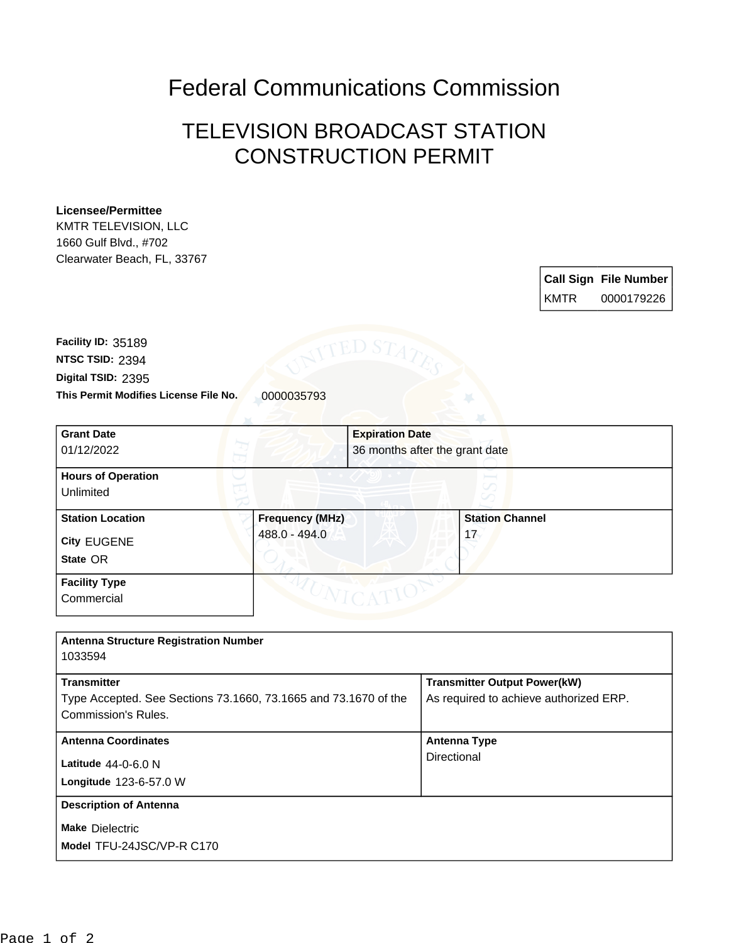Federal Communications Commission

## TELEVISION BROADCAST STATION CONSTRUCTION PERMIT

## **Licensee/Permittee**

KMTR TELEVISION, LLC 1660 Gulf Blvd., #702 Clearwater Beach, FL, 33767

|        | <b>Call Sign File Number</b> |
|--------|------------------------------|
| l KMTR | 0000179226                   |

**This Permit Modifies License File No.** 0000035793 **Digital TSID:** 2395 **NTSC TSID:** 2394 **Facility ID:** 35189

| <b>Grant Date</b><br>01/12/2022                           |                                         | <b>Expiration Date</b><br>36 months after the grant date |                              |  |
|-----------------------------------------------------------|-----------------------------------------|----------------------------------------------------------|------------------------------|--|
| <b>Hours of Operation</b><br>Unlimited                    |                                         |                                                          |                              |  |
| <b>Station Location</b><br><b>City EUGENE</b><br>State OR | <b>Frequency (MHz)</b><br>488.0 - 494.0 |                                                          | <b>Station Channel</b><br>17 |  |
| <b>Facility Type</b><br>Commercial                        |                                         |                                                          |                              |  |

| <b>Antenna Structure Registration Number</b><br>1033594                                                      |                                                                               |
|--------------------------------------------------------------------------------------------------------------|-------------------------------------------------------------------------------|
| <b>Transmitter</b><br>Type Accepted. See Sections 73.1660, 73.1665 and 73.1670 of the<br>Commission's Rules. | <b>Transmitter Output Power(kW)</b><br>As required to achieve authorized ERP. |
| <b>Antenna Coordinates</b><br>Latitude $44-0-6.0$ N<br>Longitude 123-6-57.0 W                                | Antenna Type<br>Directional                                                   |
| <b>Description of Antenna</b><br><b>Make Dielectric</b><br>Model TFU-24JSC/VP-R C170                         |                                                                               |